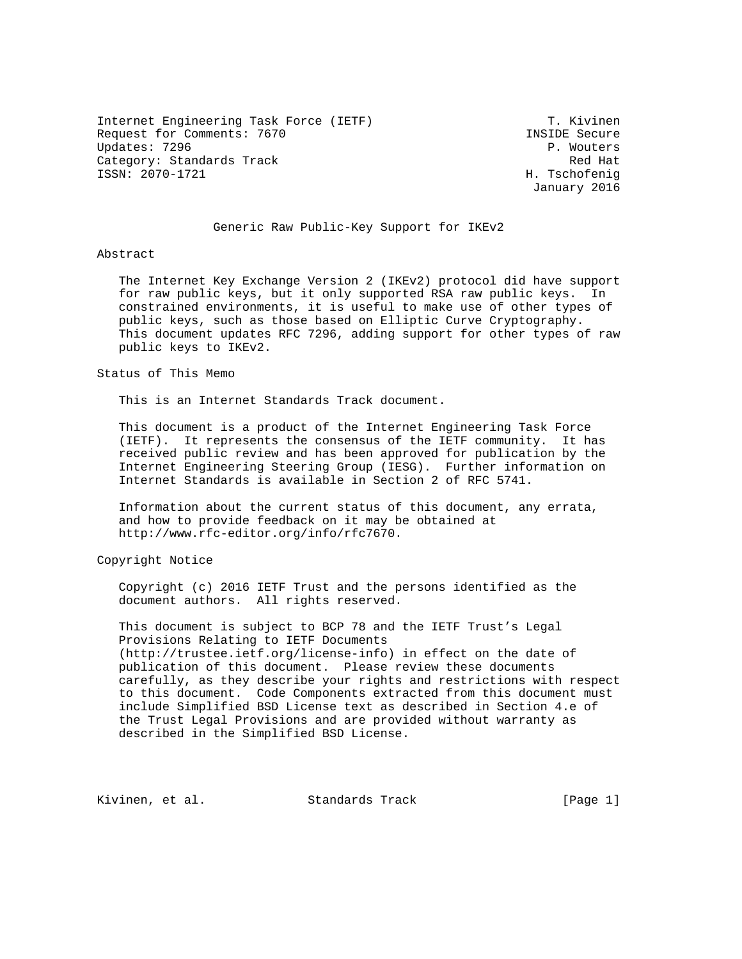Internet Engineering Task Force (IETF) T. Kivinen Request for Comments: 7670 **INSIDE** Secure Updates: 7296 P. Wouters Category: Standards Track Red Hat Red Hat Red Hat Red Hat Red Hat Red Hat Red Hat Red Hat Red Hat Red Hat Red Hat Red Hat Red Hat Red Hat Red Hat Red Hat Red Hat Red Hat Red Hat Red Hat Red Hat Red Hat Red Hat Red Hat Red ISSN: 2070-1721 H. Tschofenig

January 2016

### Generic Raw Public-Key Support for IKEv2

### Abstract

 The Internet Key Exchange Version 2 (IKEv2) protocol did have support for raw public keys, but it only supported RSA raw public keys. In constrained environments, it is useful to make use of other types of public keys, such as those based on Elliptic Curve Cryptography. This document updates RFC 7296, adding support for other types of raw public keys to IKEv2.

### Status of This Memo

This is an Internet Standards Track document.

 This document is a product of the Internet Engineering Task Force (IETF). It represents the consensus of the IETF community. It has received public review and has been approved for publication by the Internet Engineering Steering Group (IESG). Further information on Internet Standards is available in Section 2 of RFC 5741.

 Information about the current status of this document, any errata, and how to provide feedback on it may be obtained at http://www.rfc-editor.org/info/rfc7670.

Copyright Notice

 Copyright (c) 2016 IETF Trust and the persons identified as the document authors. All rights reserved.

 This document is subject to BCP 78 and the IETF Trust's Legal Provisions Relating to IETF Documents (http://trustee.ietf.org/license-info) in effect on the date of publication of this document. Please review these documents carefully, as they describe your rights and restrictions with respect to this document. Code Components extracted from this document must include Simplified BSD License text as described in Section 4.e of the Trust Legal Provisions and are provided without warranty as described in the Simplified BSD License.

Kivinen, et al. Standards Track [Page 1]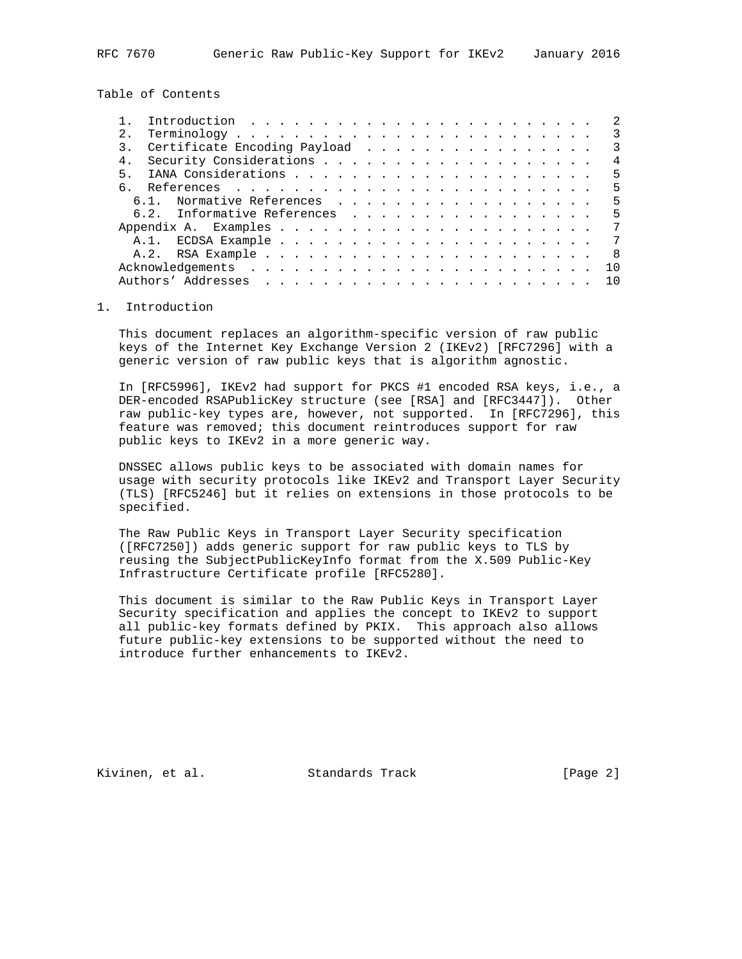Table of Contents

|       | Introduction $\ldots \ldots \ldots \ldots \ldots \ldots \ldots \ldots$       |  |  |  |  |  |  |  |  |  |  |  |                |
|-------|------------------------------------------------------------------------------|--|--|--|--|--|--|--|--|--|--|--|----------------|
| 2.    | $Terminology \ldots \ldots \ldots \ldots \ldots \ldots \ldots \ldots \ldots$ |  |  |  |  |  |  |  |  |  |  |  | 3              |
|       | Certificate Encoding Payload                                                 |  |  |  |  |  |  |  |  |  |  |  | $\mathcal{R}$  |
| 4.    |                                                                              |  |  |  |  |  |  |  |  |  |  |  | 4              |
| $5 -$ |                                                                              |  |  |  |  |  |  |  |  |  |  |  | 5              |
|       |                                                                              |  |  |  |  |  |  |  |  |  |  |  | 5              |
| 61    | Normative References                                                         |  |  |  |  |  |  |  |  |  |  |  | .5             |
|       | 6.2. Informative References                                                  |  |  |  |  |  |  |  |  |  |  |  | .5             |
|       |                                                                              |  |  |  |  |  |  |  |  |  |  |  | 7              |
|       |                                                                              |  |  |  |  |  |  |  |  |  |  |  | 7              |
|       |                                                                              |  |  |  |  |  |  |  |  |  |  |  | $\overline{8}$ |
|       |                                                                              |  |  |  |  |  |  |  |  |  |  |  | 10             |
|       |                                                                              |  |  |  |  |  |  |  |  |  |  |  | <u>າດ</u>      |

## 1. Introduction

 This document replaces an algorithm-specific version of raw public keys of the Internet Key Exchange Version 2 (IKEv2) [RFC7296] with a generic version of raw public keys that is algorithm agnostic.

 In [RFC5996], IKEv2 had support for PKCS #1 encoded RSA keys, i.e., a DER-encoded RSAPublicKey structure (see [RSA] and [RFC3447]). Other raw public-key types are, however, not supported. In [RFC7296], this feature was removed; this document reintroduces support for raw public keys to IKEv2 in a more generic way.

 DNSSEC allows public keys to be associated with domain names for usage with security protocols like IKEv2 and Transport Layer Security (TLS) [RFC5246] but it relies on extensions in those protocols to be specified.

 The Raw Public Keys in Transport Layer Security specification ([RFC7250]) adds generic support for raw public keys to TLS by reusing the SubjectPublicKeyInfo format from the X.509 Public-Key Infrastructure Certificate profile [RFC5280].

 This document is similar to the Raw Public Keys in Transport Layer Security specification and applies the concept to IKEv2 to support all public-key formats defined by PKIX. This approach also allows future public-key extensions to be supported without the need to introduce further enhancements to IKEv2.

Kivinen, et al. Standards Track [Page 2]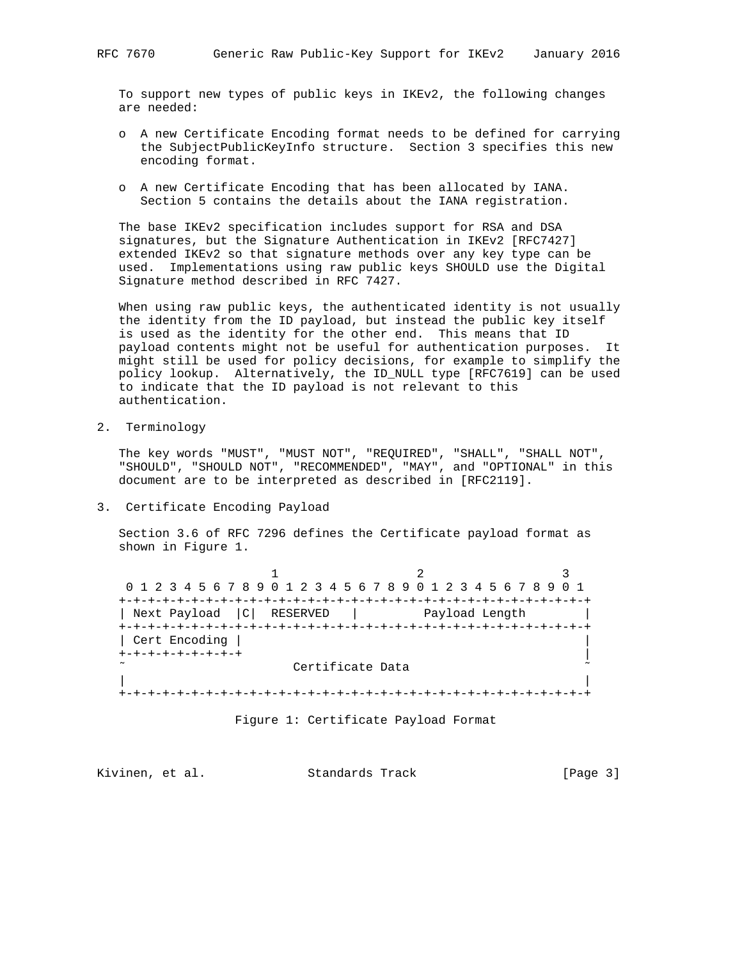To support new types of public keys in IKEv2, the following changes are needed:

- o A new Certificate Encoding format needs to be defined for carrying the SubjectPublicKeyInfo structure. Section 3 specifies this new encoding format.
- o A new Certificate Encoding that has been allocated by IANA. Section 5 contains the details about the IANA registration.

 The base IKEv2 specification includes support for RSA and DSA signatures, but the Signature Authentication in IKEv2 [RFC7427] extended IKEv2 so that signature methods over any key type can be used. Implementations using raw public keys SHOULD use the Digital Signature method described in RFC 7427.

 When using raw public keys, the authenticated identity is not usually the identity from the ID payload, but instead the public key itself is used as the identity for the other end. This means that ID payload contents might not be useful for authentication purposes. It might still be used for policy decisions, for example to simplify the policy lookup. Alternatively, the ID\_NULL type [RFC7619] can be used to indicate that the ID payload is not relevant to this authentication.

2. Terminology

 The key words "MUST", "MUST NOT", "REQUIRED", "SHALL", "SHALL NOT", "SHOULD", "SHOULD NOT", "RECOMMENDED", "MAY", and "OPTIONAL" in this document are to be interpreted as described in [RFC2119].

3. Certificate Encoding Payload

 Section 3.6 of RFC 7296 defines the Certificate payload format as shown in Figure 1.

|                           | 0 1 2 3 4 5 6 7 8 9 0 1 2 3 4 5 6 7 8 9 0 1 2 3 4 5 6 7 8 9 0 1 |                |  |  |  |  |  |  |
|---------------------------|-----------------------------------------------------------------|----------------|--|--|--|--|--|--|
|                           |                                                                 |                |  |  |  |  |  |  |
| Next Payload  C  RESERVED |                                                                 | Payload Length |  |  |  |  |  |  |
|                           |                                                                 |                |  |  |  |  |  |  |
| Cert Encoding             |                                                                 |                |  |  |  |  |  |  |
| +-+-+-+-+-+-+-+           |                                                                 |                |  |  |  |  |  |  |
| Certificate Data          |                                                                 |                |  |  |  |  |  |  |
|                           |                                                                 |                |  |  |  |  |  |  |
|                           |                                                                 |                |  |  |  |  |  |  |
|                           |                                                                 |                |  |  |  |  |  |  |

Figure 1: Certificate Payload Format

Kivinen, et al. Standards Track [Page 3]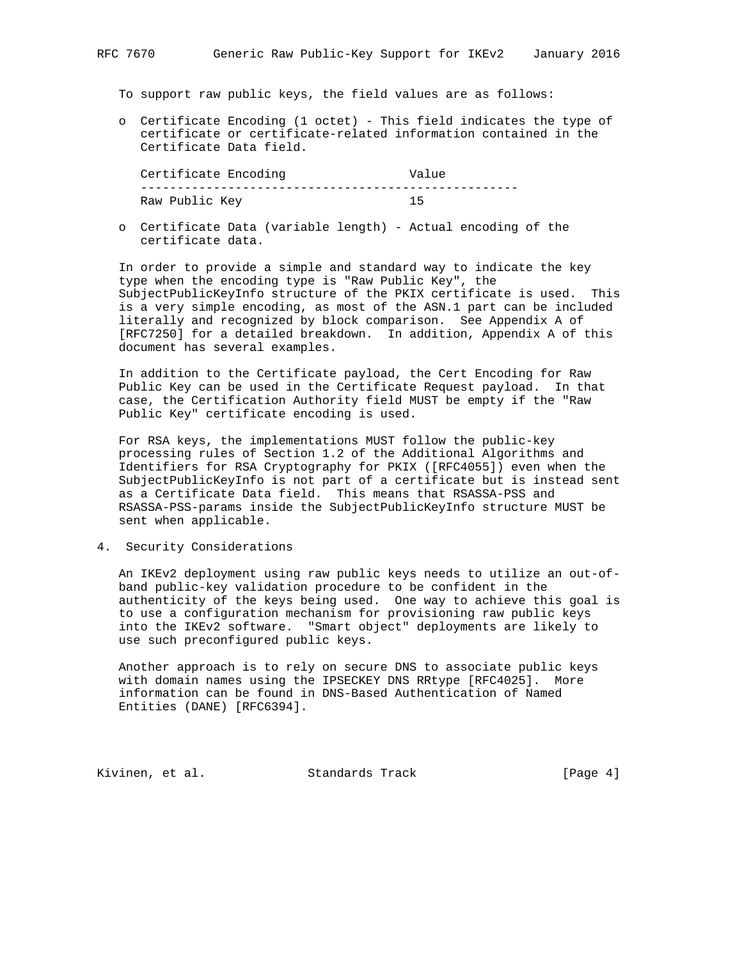# To support raw public keys, the field values are as follows:

 o Certificate Encoding (1 octet) - This field indicates the type of certificate or certificate-related information contained in the Certificate Data field.

Certificate Encoding The Value ---------------------------------------------------- Raw Public Key 15

 o Certificate Data (variable length) - Actual encoding of the certificate data.

 In order to provide a simple and standard way to indicate the key type when the encoding type is "Raw Public Key", the SubjectPublicKeyInfo structure of the PKIX certificate is used. This is a very simple encoding, as most of the ASN.1 part can be included literally and recognized by block comparison. See Appendix A of [RFC7250] for a detailed breakdown. In addition, Appendix A of this document has several examples.

 In addition to the Certificate payload, the Cert Encoding for Raw Public Key can be used in the Certificate Request payload. In that case, the Certification Authority field MUST be empty if the "Raw Public Key" certificate encoding is used.

 For RSA keys, the implementations MUST follow the public-key processing rules of Section 1.2 of the Additional Algorithms and Identifiers for RSA Cryptography for PKIX ([RFC4055]) even when the SubjectPublicKeyInfo is not part of a certificate but is instead sent as a Certificate Data field. This means that RSASSA-PSS and RSASSA-PSS-params inside the SubjectPublicKeyInfo structure MUST be sent when applicable.

4. Security Considerations

 An IKEv2 deployment using raw public keys needs to utilize an out-of band public-key validation procedure to be confident in the authenticity of the keys being used. One way to achieve this goal is to use a configuration mechanism for provisioning raw public keys into the IKEv2 software. "Smart object" deployments are likely to use such preconfigured public keys.

 Another approach is to rely on secure DNS to associate public keys with domain names using the IPSECKEY DNS RRtype [RFC4025]. More information can be found in DNS-Based Authentication of Named Entities (DANE) [RFC6394].

Kivinen, et al. Standards Track [Page 4]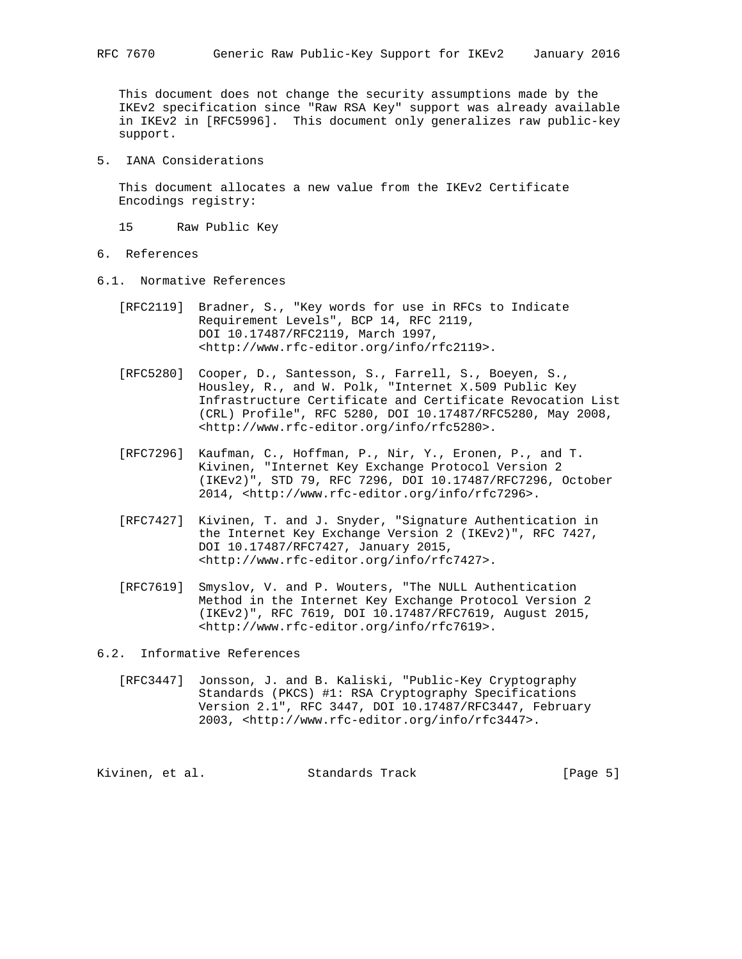This document does not change the security assumptions made by the IKEv2 specification since "Raw RSA Key" support was already available in IKEv2 in [RFC5996]. This document only generalizes raw public-key support.

5. IANA Considerations

 This document allocates a new value from the IKEv2 Certificate Encodings registry:

- 15 Raw Public Key
- 6. References
- 6.1. Normative References
	- [RFC2119] Bradner, S., "Key words for use in RFCs to Indicate Requirement Levels", BCP 14, RFC 2119, DOI 10.17487/RFC2119, March 1997, <http://www.rfc-editor.org/info/rfc2119>.
	- [RFC5280] Cooper, D., Santesson, S., Farrell, S., Boeyen, S., Housley, R., and W. Polk, "Internet X.509 Public Key Infrastructure Certificate and Certificate Revocation List (CRL) Profile", RFC 5280, DOI 10.17487/RFC5280, May 2008, <http://www.rfc-editor.org/info/rfc5280>.
- [RFC7296] Kaufman, C., Hoffman, P., Nir, Y., Eronen, P., and T. Kivinen, "Internet Key Exchange Protocol Version 2 (IKEv2)", STD 79, RFC 7296, DOI 10.17487/RFC7296, October 2014, <http://www.rfc-editor.org/info/rfc7296>.
	- [RFC7427] Kivinen, T. and J. Snyder, "Signature Authentication in the Internet Key Exchange Version 2 (IKEv2)", RFC 7427, DOI 10.17487/RFC7427, January 2015, <http://www.rfc-editor.org/info/rfc7427>.
	- [RFC7619] Smyslov, V. and P. Wouters, "The NULL Authentication Method in the Internet Key Exchange Protocol Version 2 (IKEv2)", RFC 7619, DOI 10.17487/RFC7619, August 2015, <http://www.rfc-editor.org/info/rfc7619>.

6.2. Informative References

 [RFC3447] Jonsson, J. and B. Kaliski, "Public-Key Cryptography Standards (PKCS) #1: RSA Cryptography Specifications Version 2.1", RFC 3447, DOI 10.17487/RFC3447, February 2003, <http://www.rfc-editor.org/info/rfc3447>.

Kivinen, et al. Standards Track [Page 5]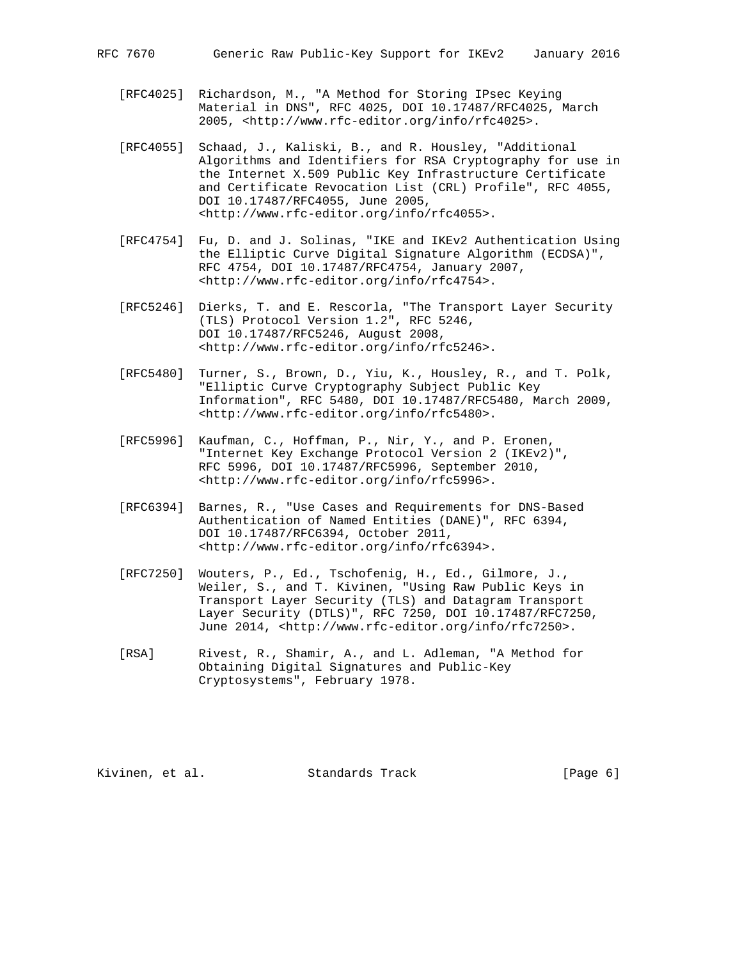- [RFC4025] Richardson, M., "A Method for Storing IPsec Keying Material in DNS", RFC 4025, DOI 10.17487/RFC4025, March 2005, <http://www.rfc-editor.org/info/rfc4025>.
- [RFC4055] Schaad, J., Kaliski, B., and R. Housley, "Additional Algorithms and Identifiers for RSA Cryptography for use in the Internet X.509 Public Key Infrastructure Certificate and Certificate Revocation List (CRL) Profile", RFC 4055, DOI 10.17487/RFC4055, June 2005, <http://www.rfc-editor.org/info/rfc4055>.
- [RFC4754] Fu, D. and J. Solinas, "IKE and IKEv2 Authentication Using the Elliptic Curve Digital Signature Algorithm (ECDSA)", RFC 4754, DOI 10.17487/RFC4754, January 2007, <http://www.rfc-editor.org/info/rfc4754>.
- [RFC5246] Dierks, T. and E. Rescorla, "The Transport Layer Security (TLS) Protocol Version 1.2", RFC 5246, DOI 10.17487/RFC5246, August 2008, <http://www.rfc-editor.org/info/rfc5246>.
	- [RFC5480] Turner, S., Brown, D., Yiu, K., Housley, R., and T. Polk, "Elliptic Curve Cryptography Subject Public Key Information", RFC 5480, DOI 10.17487/RFC5480, March 2009, <http://www.rfc-editor.org/info/rfc5480>.
	- [RFC5996] Kaufman, C., Hoffman, P., Nir, Y., and P. Eronen, "Internet Key Exchange Protocol Version 2 (IKEv2)", RFC 5996, DOI 10.17487/RFC5996, September 2010, <http://www.rfc-editor.org/info/rfc5996>.
	- [RFC6394] Barnes, R., "Use Cases and Requirements for DNS-Based Authentication of Named Entities (DANE)", RFC 6394, DOI 10.17487/RFC6394, October 2011, <http://www.rfc-editor.org/info/rfc6394>.
	- [RFC7250] Wouters, P., Ed., Tschofenig, H., Ed., Gilmore, J., Weiler, S., and T. Kivinen, "Using Raw Public Keys in Transport Layer Security (TLS) and Datagram Transport Layer Security (DTLS)", RFC 7250, DOI 10.17487/RFC7250, June 2014, <http://www.rfc-editor.org/info/rfc7250>.
	- [RSA] Rivest, R., Shamir, A., and L. Adleman, "A Method for Obtaining Digital Signatures and Public-Key Cryptosystems", February 1978.

Kivinen, et al. Standards Track [Page 6]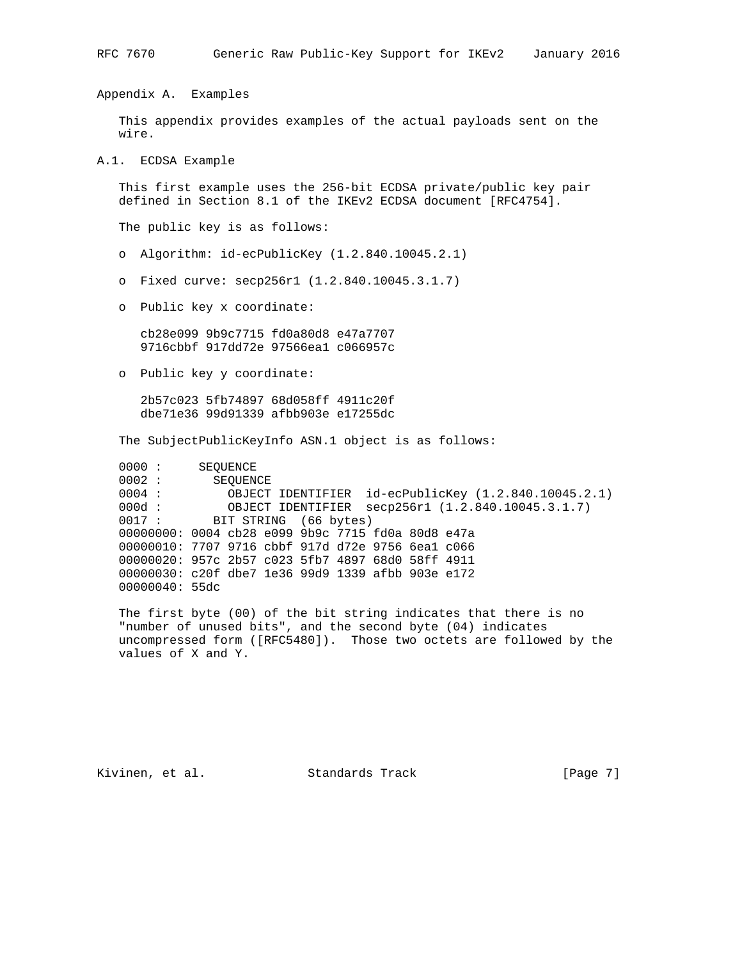Appendix A. Examples

 This appendix provides examples of the actual payloads sent on the wire.

A.1. ECDSA Example

 This first example uses the 256-bit ECDSA private/public key pair defined in Section 8.1 of the IKEv2 ECDSA document [RFC4754].

The public key is as follows:

- o Algorithm: id-ecPublicKey (1.2.840.10045.2.1)
- o Fixed curve: secp256r1 (1.2.840.10045.3.1.7)
- o Public key x coordinate:

 cb28e099 9b9c7715 fd0a80d8 e47a7707 9716cbbf 917dd72e 97566ea1 c066957c

o Public key y coordinate:

 2b57c023 5fb74897 68d058ff 4911c20f dbe71e36 99d91339 afbb903e e17255dc

The SubjectPublicKeyInfo ASN.1 object is as follows:

0000 : SEQUENCE 0002 : SEQUENCE<br>0004 : OBJECT 0004 : OBJECT IDENTIFIER id-ecPublicKey (1.2.840.10045.2.1)<br>000d : OBJECT IDENTIFIER secp256r1 (1.2.840.10045.3.1.7) OBJECT IDENTIFIER secp256r1 (1.2.840.10045.3.1.7) 0000 : 00000 : 00000 : 00000 : 00000 : 00000 : 00000 : 00000 : 00000 : 00000 : 00000 : 00000 : 00000 : 00000 : 00000 : 00000 : 00000 : 00000 : 00000 : 00000 : 00000 : 00000 : 00000 : 00000 : 00000 : 00000 : 00000 : 00000 : 00000000: 0004 cb28 e099 9b9c 7715 fd0a 80d8 e47a 00000010: 7707 9716 cbbf 917d d72e 9756 6ea1 c066 00000020: 957c 2b57 c023 5fb7 4897 68d0 58ff 4911 00000030: c20f dbe7 1e36 99d9 1339 afbb 903e e172 00000040: 55dc

 The first byte (00) of the bit string indicates that there is no "number of unused bits", and the second byte (04) indicates uncompressed form ([RFC5480]). Those two octets are followed by the values of X and Y.

Kivinen, et al. Standards Track [Page 7]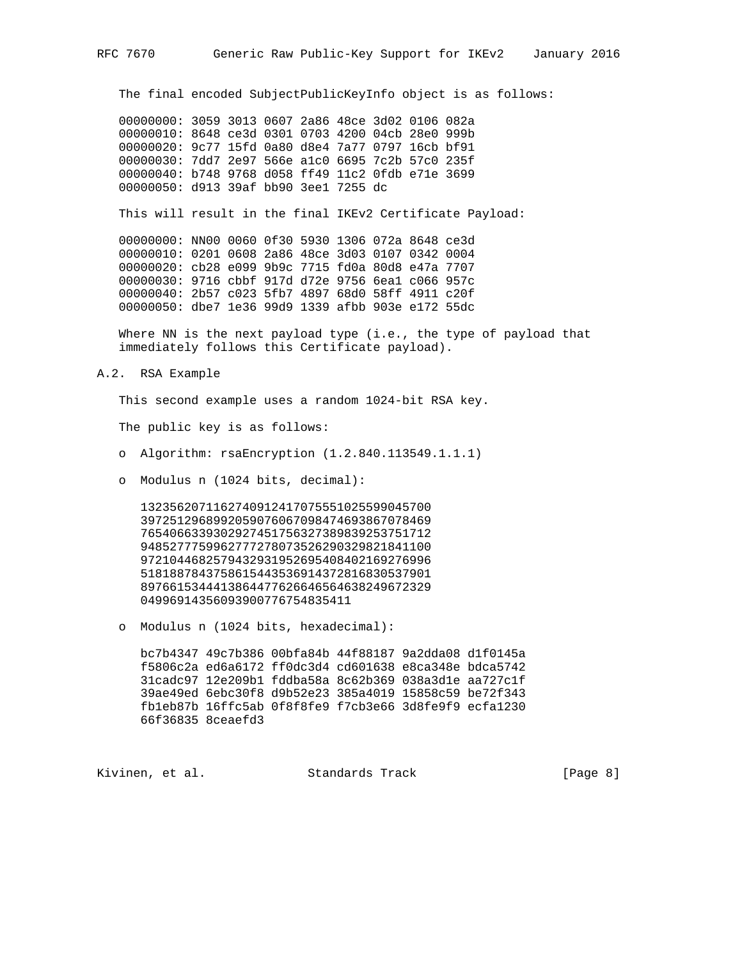The final encoded SubjectPublicKeyInfo object is as follows:

 00000000: 3059 3013 0607 2a86 48ce 3d02 0106 082a 00000010: 8648 ce3d 0301 0703 4200 04cb 28e0 999b 00000020: 9c77 15fd 0a80 d8e4 7a77 0797 16cb bf91 00000030: 7dd7 2e97 566e a1c0 6695 7c2b 57c0 235f 00000040: b748 9768 d058 ff49 11c2 0fdb e71e 3699 00000050: d913 39af bb90 3ee1 7255 dc

This will result in the final IKEv2 Certificate Payload:

 00000000: NN00 0060 0f30 5930 1306 072a 8648 ce3d 00000010: 0201 0608 2a86 48ce 3d03 0107 0342 0004 00000020: cb28 e099 9b9c 7715 fd0a 80d8 e47a 7707 00000030: 9716 cbbf 917d d72e 9756 6ea1 c066 957c 00000040: 2b57 c023 5fb7 4897 68d0 58ff 4911 c20f 00000050: dbe7 1e36 99d9 1339 afbb 903e e172 55dc

 Where NN is the next payload type (i.e., the type of payload that immediately follows this Certificate payload).

A.2. RSA Example

This second example uses a random 1024-bit RSA key.

The public key is as follows:

- o Algorithm: rsaEncryption (1.2.840.113549.1.1.1)
- o Modulus n (1024 bits, decimal):

 1323562071162740912417075551025599045700 3972512968992059076067098474693867078469 7654066339302927451756327389839253751712 9485277759962777278073526290329821841100 9721044682579432931952695408402169276996 5181887843758615443536914372816830537901 8976615344413864477626646564638249672329 04996914356093900776754835411

o Modulus n (1024 bits, hexadecimal):

 bc7b4347 49c7b386 00bfa84b 44f88187 9a2dda08 d1f0145a f5806c2a ed6a6172 ff0dc3d4 cd601638 e8ca348e bdca5742 31cadc97 12e209b1 fddba58a 8c62b369 038a3d1e aa727c1f 39ae49ed 6ebc30f8 d9b52e23 385a4019 15858c59 be72f343 fb1eb87b 16ffc5ab 0f8f8fe9 f7cb3e66 3d8fe9f9 ecfa1230 66f36835 8ceaefd3

Kivinen, et al. Standards Track [Page 8]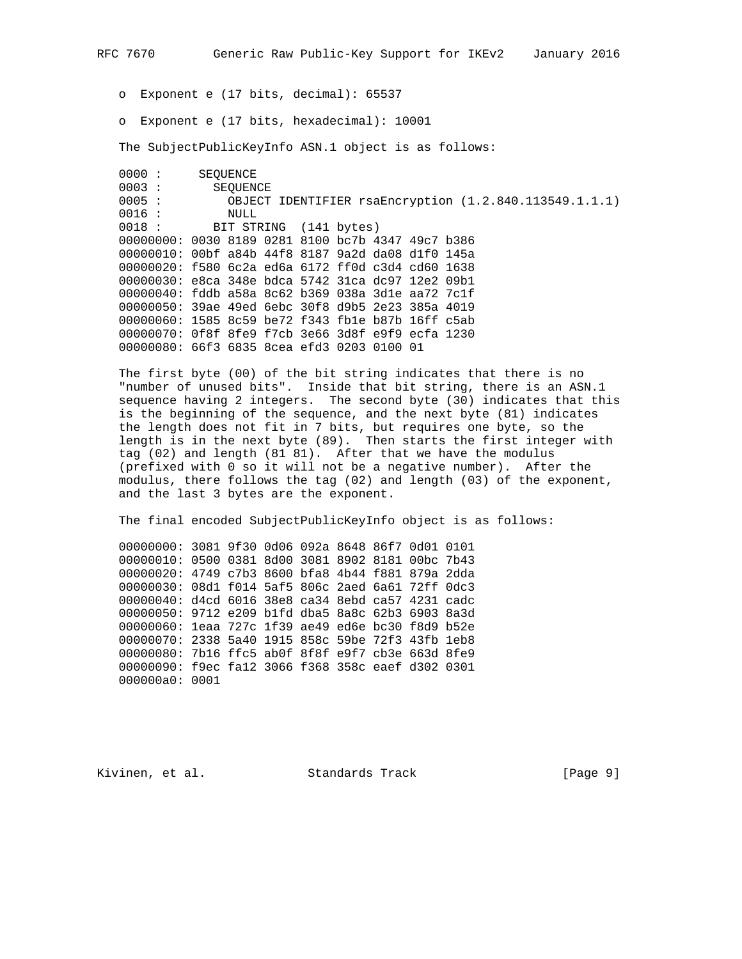o Exponent e (17 bits, decimal): 65537

o Exponent e (17 bits, hexadecimal): 10001

The SubjectPublicKeyInfo ASN.1 object is as follows:

0000 : SEQUENCE<br>0003 : SEQUEN SEQUENCE 0005 : OBJECT IDENTIFIER rsaEncryption (1.2.840.113549.1.1.1) 0016 : NULL 0018 : BIT STRING (141 bytes) 00000000: 0030 8189 0281 8100 bc7b 4347 49c7 b386 00000010: 00bf a84b 44f8 8187 9a2d da08 d1f0 145a 00000020: f580 6c2a ed6a 6172 ff0d c3d4 cd60 1638 00000030: e8ca 348e bdca 5742 31ca dc97 12e2 09b1 00000040: fddb a58a 8c62 b369 038a 3d1e aa72 7c1f 00000050: 39ae 49ed 6ebc 30f8 d9b5 2e23 385a 4019 00000060: 1585 8c59 be72 f343 fb1e b87b 16ff c5ab 00000070: 0f8f 8fe9 f7cb 3e66 3d8f e9f9 ecfa 1230 00000080: 66f3 6835 8cea efd3 0203 0100 01

 The first byte (00) of the bit string indicates that there is no "number of unused bits". Inside that bit string, there is an ASN.1 sequence having 2 integers. The second byte (30) indicates that this is the beginning of the sequence, and the next byte (81) indicates the length does not fit in 7 bits, but requires one byte, so the length is in the next byte (89). Then starts the first integer with tag (02) and length (81 81). After that we have the modulus (prefixed with 0 so it will not be a negative number). After the modulus, there follows the tag (02) and length (03) of the exponent, and the last 3 bytes are the exponent.

The final encoded SubjectPublicKeyInfo object is as follows:

 00000000: 3081 9f30 0d06 092a 8648 86f7 0d01 0101 00000010: 0500 0381 8d00 3081 8902 8181 00bc 7b43 00000020: 4749 c7b3 8600 bfa8 4b44 f881 879a 2dda 00000030: 08d1 f014 5af5 806c 2aed 6a61 72ff 0dc3 00000040: d4cd 6016 38e8 ca34 8ebd ca57 4231 cadc 00000050: 9712 e209 b1fd dba5 8a8c 62b3 6903 8a3d 00000060: 1eaa 727c 1f39 ae49 ed6e bc30 f8d9 b52e 00000070: 2338 5a40 1915 858c 59be 72f3 43fb 1eb8 00000080: 7b16 ffc5 ab0f 8f8f e9f7 cb3e 663d 8fe9 00000090: f9ec fa12 3066 f368 358c eaef d302 0301 000000a0: 0001

Kivinen, et al. Standards Track [Page 9]